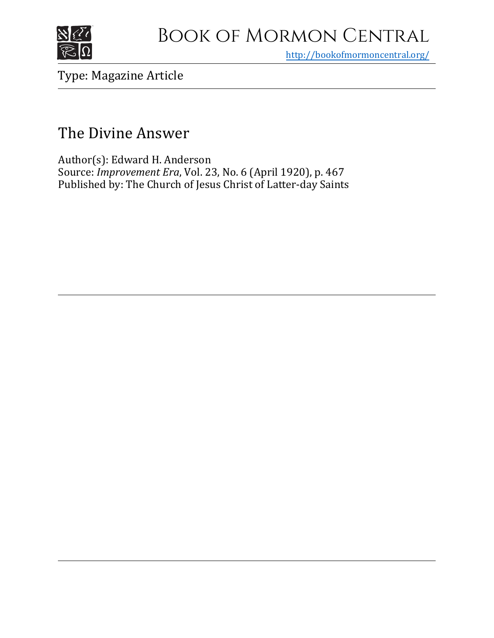

## Book of Mormon Central

<http://bookofmormoncentral.org/>

## Type: Magazine Article

## The Divine Answer

Author(s): Edward H. Anderson Source: *Improvement Era*, Vol. 23, No. 6 (April 1920), p. 467 Published by: The Church of Jesus Christ of Latter-day Saints